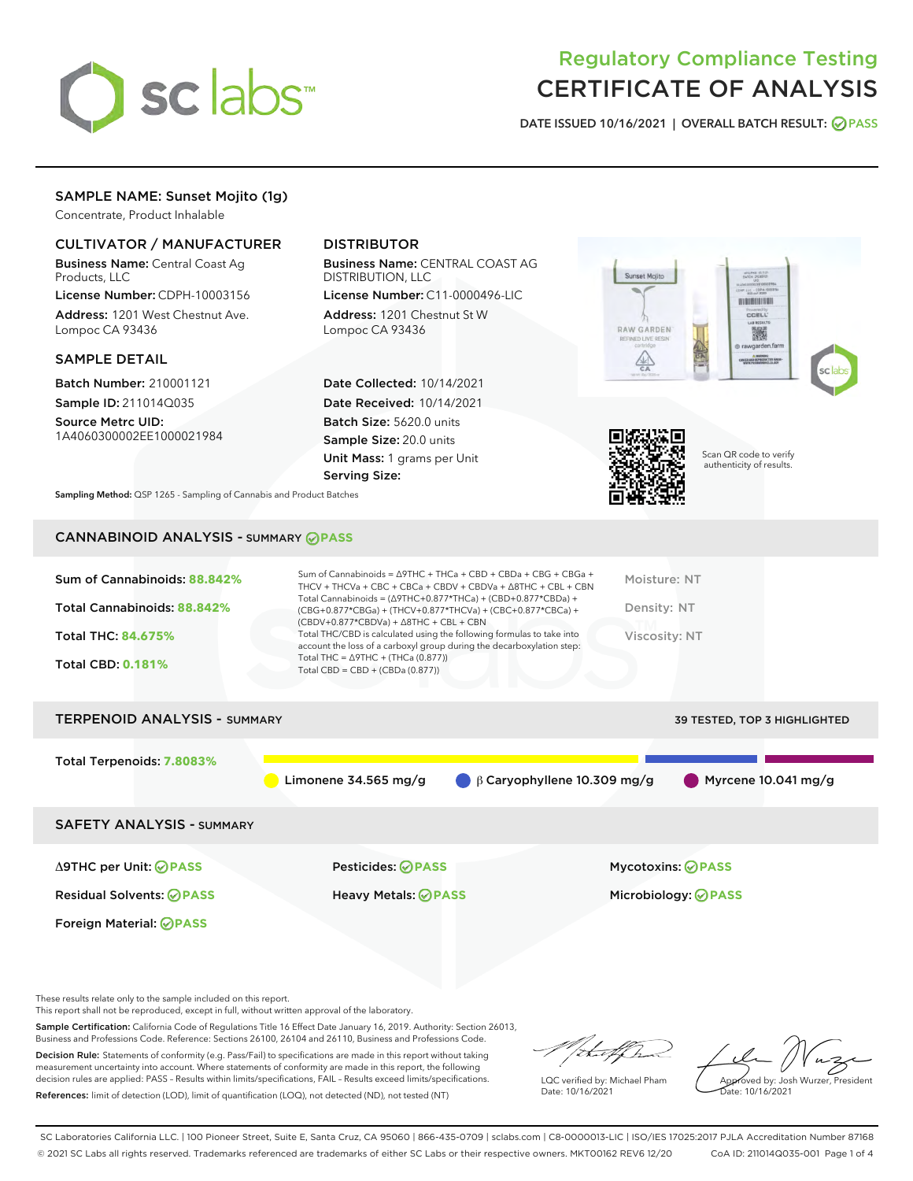

# Regulatory Compliance Testing CERTIFICATE OF ANALYSIS

DATE ISSUED 10/16/2021 | OVERALL BATCH RESULT: @ PASS

## SAMPLE NAME: Sunset Mojito (1g)

Concentrate, Product Inhalable

## CULTIVATOR / MANUFACTURER

Business Name: Central Coast Ag Products, LLC

License Number: CDPH-10003156 Address: 1201 West Chestnut Ave. Lompoc CA 93436

## SAMPLE DETAIL

Batch Number: 210001121 Sample ID: 211014Q035

Source Metrc UID: 1A4060300002EE1000021984

## DISTRIBUTOR

Business Name: CENTRAL COAST AG DISTRIBUTION, LLC

License Number: C11-0000496-LIC Address: 1201 Chestnut St W Lompoc CA 93436

Date Collected: 10/14/2021 Date Received: 10/14/2021 Batch Size: 5620.0 units Sample Size: 20.0 units Unit Mass: 1 grams per Unit Serving Size:





Scan QR code to verify authenticity of results.

Sampling Method: QSP 1265 - Sampling of Cannabis and Product Batches

## CANNABINOID ANALYSIS - SUMMARY **PASS**

| Sum of Cannabinoids: 88.842%        |                                                                                                                                                                                      | Sum of Cannabinoids = $\triangle$ 9THC + THCa + CBD + CBDa + CBG + CBGa +<br>THCV + THCVa + CBC + CBCa + CBDV + CBDVa + $\land$ 8THC + CBL + CBN | Moisture: NT  |                                     |
|-------------------------------------|--------------------------------------------------------------------------------------------------------------------------------------------------------------------------------------|--------------------------------------------------------------------------------------------------------------------------------------------------|---------------|-------------------------------------|
| Total Cannabinoids: 88.842%         | Total Cannabinoids = $(\Delta$ 9THC+0.877*THCa) + (CBD+0.877*CBDa) +<br>(CBG+0.877*CBGa) + (THCV+0.877*THCVa) + (CBC+0.877*CBCa) +<br>$(CBDV+0.877*CBDVa) + \Delta 8THC + CBL + CBN$ |                                                                                                                                                  | Density: NT   |                                     |
| Total THC: 84.675%                  | Total THC/CBD is calculated using the following formulas to take into<br>account the loss of a carboxyl group during the decarboxylation step:                                       |                                                                                                                                                  | Viscosity: NT |                                     |
| <b>Total CBD: 0.181%</b>            | Total THC = $\triangle$ 9THC + (THCa (0.877))<br>Total CBD = $CBD + (CBDa (0.877))$                                                                                                  |                                                                                                                                                  |               |                                     |
|                                     |                                                                                                                                                                                      |                                                                                                                                                  |               |                                     |
| <b>TERPENOID ANALYSIS - SUMMARY</b> |                                                                                                                                                                                      |                                                                                                                                                  |               | <b>39 TESTED, TOP 3 HIGHLIGHTED</b> |
|                                     |                                                                                                                                                                                      |                                                                                                                                                  |               |                                     |
| Total Terpenoids: 7.8083%           |                                                                                                                                                                                      |                                                                                                                                                  |               |                                     |
|                                     | Limonene 34.565 mg/g                                                                                                                                                                 | $\bigcirc$ $\beta$ Caryophyllene 10.309 mg/g                                                                                                     |               | Myrcene 10.041 mg/g                 |
| <b>SAFETY ANALYSIS - SUMMARY</b>    |                                                                                                                                                                                      |                                                                                                                                                  |               |                                     |
|                                     |                                                                                                                                                                                      |                                                                                                                                                  |               |                                     |

Foreign Material: **PASS**

Δ9THC per Unit: **PASS** Pesticides: **PASS** Mycotoxins: **PASS**

Residual Solvents: **PASS** Heavy Metals: **PASS** Microbiology: **PASS**

These results relate only to the sample included on this report.

This report shall not be reproduced, except in full, without written approval of the laboratory.

Sample Certification: California Code of Regulations Title 16 Effect Date January 16, 2019. Authority: Section 26013, Business and Professions Code. Reference: Sections 26100, 26104 and 26110, Business and Professions Code.

Decision Rule: Statements of conformity (e.g. Pass/Fail) to specifications are made in this report without taking measurement uncertainty into account. Where statements of conformity are made in this report, the following decision rules are applied: PASS – Results within limits/specifications, FAIL – Results exceed limits/specifications. References: limit of detection (LOD), limit of quantification (LOQ), not detected (ND), not tested (NT)

that f h

LQC verified by: Michael Pham Date: 10/16/2021

Approved by: Josh Wurzer, President ate: 10/16/2021

SC Laboratories California LLC. | 100 Pioneer Street, Suite E, Santa Cruz, CA 95060 | 866-435-0709 | sclabs.com | C8-0000013-LIC | ISO/IES 17025:2017 PJLA Accreditation Number 87168 © 2021 SC Labs all rights reserved. Trademarks referenced are trademarks of either SC Labs or their respective owners. MKT00162 REV6 12/20 CoA ID: 211014Q035-001 Page 1 of 4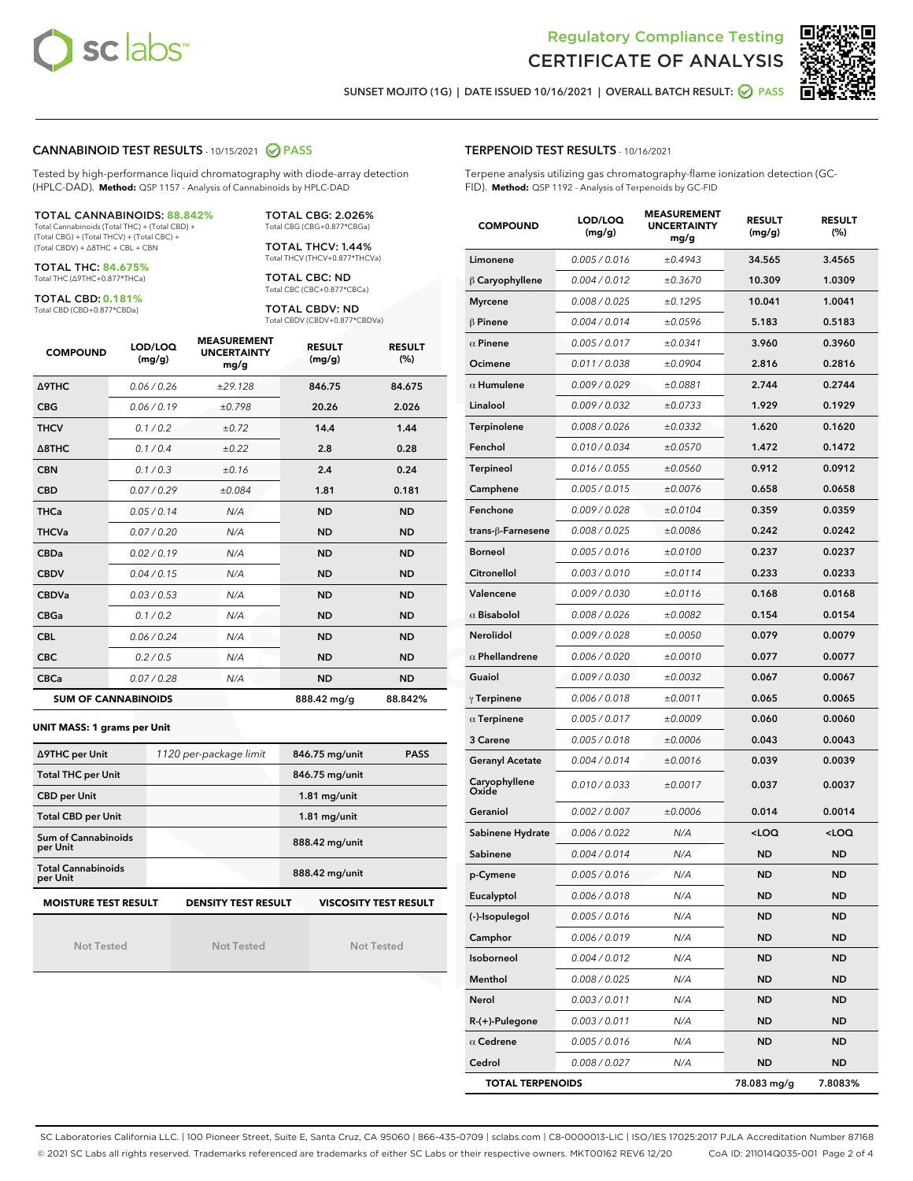



SUNSET MOJITO (1G) | DATE ISSUED 10/16/2021 | OVERALL BATCH RESULT: @ PASS

### CANNABINOID TEST RESULTS - 10/15/2021 2 PASS

Tested by high-performance liquid chromatography with diode-array detection (HPLC-DAD). **Method:** QSP 1157 - Analysis of Cannabinoids by HPLC-DAD

#### TOTAL CANNABINOIDS: **88.842%**

Total Cannabinoids (Total THC) + (Total CBD) + (Total CBG) + (Total THCV) + (Total CBC) + (Total CBDV) + ∆8THC + CBL + CBN

TOTAL THC: **84.675%** Total THC (∆9THC+0.877\*THCa)

TOTAL CBD: **0.181%**

Total CBD (CBD+0.877\*CBDa)

TOTAL CBG: 2.026% Total CBG (CBG+0.877\*CBGa)

TOTAL THCV: 1.44% Total THCV (THCV+0.877\*THCVa)

TOTAL CBC: ND Total CBC (CBC+0.877\*CBCa)

TOTAL CBDV: ND Total CBDV (CBDV+0.877\*CBDVa)

| <b>COMPOUND</b>            | LOD/LOQ<br>(mg/g) | <b>MEASUREMENT</b><br><b>UNCERTAINTY</b><br>mg/g | <b>RESULT</b><br>(mg/g) | <b>RESULT</b><br>(%) |
|----------------------------|-------------------|--------------------------------------------------|-------------------------|----------------------|
| Δ9THC                      | 0.06 / 0.26       | ±29.128                                          | 846.75                  | 84.675               |
| <b>CBG</b>                 | 0.06/0.19         | ±0.798                                           | 20.26                   | 2.026                |
| <b>THCV</b>                | 0.1 / 0.2         | ±0.72                                            | 14.4                    | 1.44                 |
| $\triangle$ 8THC           | 0.1/0.4           | ±0.22                                            | 2.8                     | 0.28                 |
| <b>CBN</b>                 | 0.1/0.3           | ±0.16                                            | 2.4                     | 0.24                 |
| <b>CBD</b>                 | 0.07/0.29         | ±0.084                                           | 1.81                    | 0.181                |
| <b>THCa</b>                | 0.05/0.14         | N/A                                              | <b>ND</b>               | <b>ND</b>            |
| <b>THCVa</b>               | 0.07/0.20         | N/A                                              | <b>ND</b>               | <b>ND</b>            |
| <b>CBDa</b>                | 0.02/0.19         | N/A                                              | <b>ND</b>               | <b>ND</b>            |
| <b>CBDV</b>                | 0.04 / 0.15       | N/A                                              | <b>ND</b>               | <b>ND</b>            |
| <b>CBDVa</b>               | 0.03/0.53         | N/A                                              | <b>ND</b>               | <b>ND</b>            |
| <b>CBGa</b>                | 0.1/0.2           | N/A                                              | <b>ND</b>               | <b>ND</b>            |
| <b>CBL</b>                 | 0.06 / 0.24       | N/A                                              | <b>ND</b>               | <b>ND</b>            |
| <b>CBC</b>                 | 0.2 / 0.5         | N/A                                              | <b>ND</b>               | <b>ND</b>            |
| <b>CBCa</b>                | 0.07 / 0.28       | N/A                                              | <b>ND</b>               | <b>ND</b>            |
| <b>SUM OF CANNABINOIDS</b> |                   |                                                  | 888.42 mg/g             | 88.842%              |

**UNIT MASS: 1 grams per Unit**

| ∆9THC per Unit                                                                            | 1120 per-package limit | 846.75 mg/unit<br><b>PASS</b> |  |  |  |
|-------------------------------------------------------------------------------------------|------------------------|-------------------------------|--|--|--|
| <b>Total THC per Unit</b>                                                                 |                        | 846.75 mg/unit                |  |  |  |
| <b>CBD per Unit</b>                                                                       |                        | $1.81$ mg/unit                |  |  |  |
| <b>Total CBD per Unit</b>                                                                 |                        | $1.81$ mg/unit                |  |  |  |
| Sum of Cannabinoids<br>per Unit                                                           |                        | 888.42 mg/unit                |  |  |  |
| <b>Total Cannabinoids</b><br>per Unit                                                     |                        | 888.42 mg/unit                |  |  |  |
| <b>MOISTURE TEST RESULT</b><br><b>DENSITY TEST RESULT</b><br><b>VISCOSITY TEST RESULT</b> |                        |                               |  |  |  |

Not Tested

| Not Tested |  |
|------------|--|

Not Tested

#### TERPENOID TEST RESULTS - 10/16/2021

Terpene analysis utilizing gas chromatography-flame ionization detection (GC-FID). **Method:** QSP 1192 - Analysis of Terpenoids by GC-FID

| <b>COMPOUND</b>         | LOD/LOQ<br>(mg/g) | <b>MEASUREMENT</b><br><b>UNCERTAINTY</b><br>mg/g | <b>RESULT</b><br>(mg/g)                         | <b>RESULT</b><br>(%) |
|-------------------------|-------------------|--------------------------------------------------|-------------------------------------------------|----------------------|
| Limonene                | 0.005 / 0.016     | ±0.4943                                          | 34.565                                          | 3.4565               |
| $\beta$ Caryophyllene   | 0.004 / 0.012     | ±0.3670                                          | 10.309                                          | 1.0309               |
| <b>Myrcene</b>          | 0.008 / 0.025     | ±0.1295                                          | 10.041                                          | 1.0041               |
| $\beta$ Pinene          | 0.004 / 0.014     | ±0.0596                                          | 5.183                                           | 0.5183               |
| $\alpha$ Pinene         | 0.005 / 0.017     | ±0.0341                                          | 3.960                                           | 0.3960               |
| Ocimene                 | 0.011 / 0.038     | ±0.0904                                          | 2.816                                           | 0.2816               |
| $\alpha$ Humulene       | 0.009 / 0.029     | ±0.0881                                          | 2.744                                           | 0.2744               |
| Linalool                | 0.009 / 0.032     | ±0.0733                                          | 1.929                                           | 0.1929               |
| Terpinolene             | 0.008 / 0.026     | ±0.0332                                          | 1.620                                           | 0.1620               |
| Fenchol                 | 0.010 / 0.034     | ±0.0570                                          | 1.472                                           | 0.1472               |
| <b>Terpineol</b>        | 0.016 / 0.055     | ±0.0560                                          | 0.912                                           | 0.0912               |
| Camphene                | 0.005 / 0.015     | ±0.0076                                          | 0.658                                           | 0.0658               |
| Fenchone                | 0.009 / 0.028     | ±0.0104                                          | 0.359                                           | 0.0359               |
| trans-ß-Farnesene       | 0.008 / 0.025     | ±0.0086                                          | 0.242                                           | 0.0242               |
| <b>Borneol</b>          | 0.005 / 0.016     | ±0.0100                                          | 0.237                                           | 0.0237               |
| Citronellol             | 0.003 / 0.010     | ±0.0114                                          | 0.233                                           | 0.0233               |
| Valencene               | 0.009 / 0.030     | ±0.0116                                          | 0.168                                           | 0.0168               |
| $\alpha$ Bisabolol      | 0.008 / 0.026     | ±0.0082                                          | 0.154                                           | 0.0154               |
| Nerolidol               | 0.009 / 0.028     | ±0.0050                                          | 0.079                                           | 0.0079               |
| $\alpha$ Phellandrene   | 0.006 / 0.020     | ±0.0010                                          | 0.077                                           | 0.0077               |
| Guaiol                  | 0.009 / 0.030     | ±0.0032                                          | 0.067                                           | 0.0067               |
| $\gamma$ Terpinene      | 0.006 / 0.018     | ±0.0011                                          | 0.065                                           | 0.0065               |
| $\alpha$ Terpinene      | 0.005 / 0.017     | ±0.0009                                          | 0.060                                           | 0.0060               |
| <b>3 Carene</b>         | 0.005 / 0.018     | ±0.0006                                          | 0.043                                           | 0.0043               |
| <b>Geranyl Acetate</b>  | 0.004 / 0.014     | ±0.0016                                          | 0.039                                           | 0.0039               |
| Caryophyllene<br>Oxide  | 0.010 / 0.033     | ±0.0017                                          | 0.037                                           | 0.0037               |
| Geraniol                | 0.002 / 0.007     | ±0.0006                                          | 0.014                                           | 0.0014               |
| Sabinene Hydrate        | 0.006 / 0.022     | N/A                                              | <loq< th=""><th><loq< th=""></loq<></th></loq<> | <loq< th=""></loq<>  |
| Sabinene                | 0.004 / 0.014     | N/A                                              | <b>ND</b>                                       | <b>ND</b>            |
| p-Cymene                | 0.005 / 0.016     | N/A                                              | <b>ND</b>                                       | <b>ND</b>            |
| Eucalyptol              | 0.006 / 0.018     | N/A                                              | ND                                              | ND                   |
| (-)-Isopulegol          | 0.005 / 0.016     | N/A                                              | <b>ND</b>                                       | <b>ND</b>            |
| Camphor                 | 0.006 / 0.019     | N/A                                              | <b>ND</b>                                       | <b>ND</b>            |
| Isoborneol              | 0.004 / 0.012     | N/A                                              | ND                                              | ND                   |
| Menthol                 | 0.008 / 0.025     | N/A                                              | <b>ND</b>                                       | ND                   |
| Nerol                   | 0.003 / 0.011     | N/A                                              | <b>ND</b>                                       | <b>ND</b>            |
| R-(+)-Pulegone          | 0.003 / 0.011     | N/A                                              | ND                                              | ND                   |
| $\alpha$ Cedrene        | 0.005 / 0.016     | N/A                                              | <b>ND</b>                                       | ND                   |
| Cedrol                  | 0.008 / 0.027     | N/A                                              | <b>ND</b>                                       | ND                   |
| <b>TOTAL TERPENOIDS</b> |                   |                                                  | 78.083 mg/g                                     | 7.8083%              |

SC Laboratories California LLC. | 100 Pioneer Street, Suite E, Santa Cruz, CA 95060 | 866-435-0709 | sclabs.com | C8-0000013-LIC | ISO/IES 17025:2017 PJLA Accreditation Number 87168 © 2021 SC Labs all rights reserved. Trademarks referenced are trademarks of either SC Labs or their respective owners. MKT00162 REV6 12/20 CoA ID: 211014Q035-001 Page 2 of 4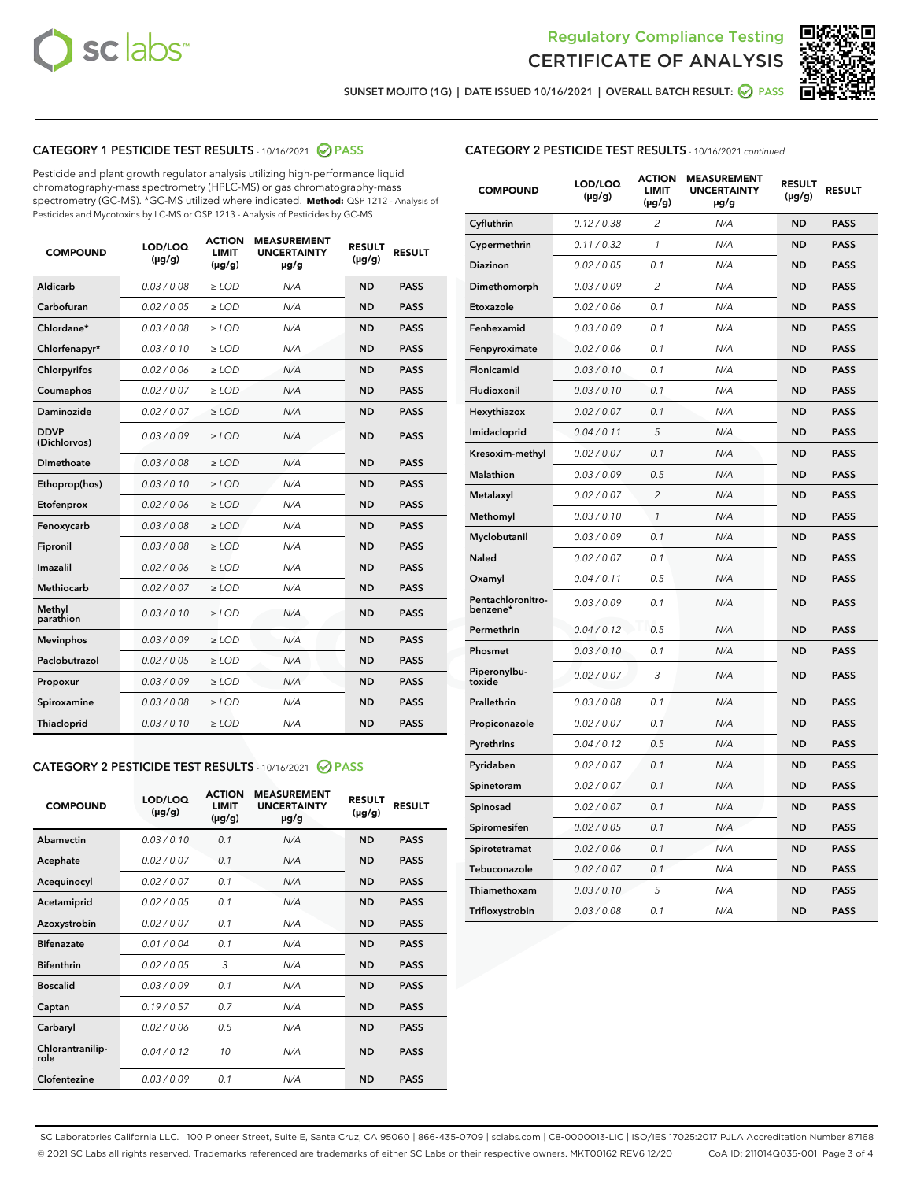



SUNSET MOJITO (1G) | DATE ISSUED 10/16/2021 | OVERALL BATCH RESULT:  $\bigcirc$  PASS

## CATEGORY 1 PESTICIDE TEST RESULTS - 10/16/2021 2 PASS

Pesticide and plant growth regulator analysis utilizing high-performance liquid chromatography-mass spectrometry (HPLC-MS) or gas chromatography-mass spectrometry (GC-MS). \*GC-MS utilized where indicated. **Method:** QSP 1212 - Analysis of Pesticides and Mycotoxins by LC-MS or QSP 1213 - Analysis of Pesticides by GC-MS

| <b>COMPOUND</b>             | LOD/LOQ<br>$(\mu g/g)$ | <b>ACTION</b><br><b>LIMIT</b><br>$(\mu q/q)$ | <b>MEASUREMENT</b><br><b>UNCERTAINTY</b><br>$\mu$ g/g | <b>RESULT</b><br>$(\mu g/g)$ | <b>RESULT</b> |
|-----------------------------|------------------------|----------------------------------------------|-------------------------------------------------------|------------------------------|---------------|
| Aldicarb                    | 0.03 / 0.08            | $\ge$ LOD                                    | N/A                                                   | <b>ND</b>                    | <b>PASS</b>   |
| Carbofuran                  | 0.02 / 0.05            | $\ge$ LOD                                    | N/A                                                   | <b>ND</b>                    | <b>PASS</b>   |
| Chlordane*                  | 0.03 / 0.08            | $\ge$ LOD                                    | N/A                                                   | <b>ND</b>                    | <b>PASS</b>   |
| Chlorfenapyr*               | 0.03/0.10              | $\ge$ LOD                                    | N/A                                                   | <b>ND</b>                    | <b>PASS</b>   |
| Chlorpyrifos                | 0.02 / 0.06            | $\ge$ LOD                                    | N/A                                                   | <b>ND</b>                    | <b>PASS</b>   |
| Coumaphos                   | 0.02 / 0.07            | $\ge$ LOD                                    | N/A                                                   | <b>ND</b>                    | <b>PASS</b>   |
| Daminozide                  | 0.02 / 0.07            | $\ge$ LOD                                    | N/A                                                   | <b>ND</b>                    | <b>PASS</b>   |
| <b>DDVP</b><br>(Dichlorvos) | 0.03/0.09              | $\ge$ LOD                                    | N/A                                                   | <b>ND</b>                    | <b>PASS</b>   |
| Dimethoate                  | 0.03 / 0.08            | $\ge$ LOD                                    | N/A                                                   | <b>ND</b>                    | <b>PASS</b>   |
| Ethoprop(hos)               | 0.03/0.10              | $\ge$ LOD                                    | N/A                                                   | <b>ND</b>                    | <b>PASS</b>   |
| Etofenprox                  | 0.02/0.06              | $>$ LOD                                      | N/A                                                   | <b>ND</b>                    | <b>PASS</b>   |
| Fenoxycarb                  | 0.03 / 0.08            | $\ge$ LOD                                    | N/A                                                   | <b>ND</b>                    | <b>PASS</b>   |
| Fipronil                    | 0.03/0.08              | $>$ LOD                                      | N/A                                                   | <b>ND</b>                    | <b>PASS</b>   |
| Imazalil                    | 0.02 / 0.06            | $\ge$ LOD                                    | N/A                                                   | <b>ND</b>                    | <b>PASS</b>   |
| Methiocarb                  | 0.02 / 0.07            | $\ge$ LOD                                    | N/A                                                   | <b>ND</b>                    | <b>PASS</b>   |
| Methyl<br>parathion         | 0.03/0.10              | $>$ LOD                                      | N/A                                                   | <b>ND</b>                    | <b>PASS</b>   |
| <b>Mevinphos</b>            | 0.03/0.09              | $>$ LOD                                      | N/A                                                   | <b>ND</b>                    | <b>PASS</b>   |
| Paclobutrazol               | 0.02 / 0.05            | $>$ LOD                                      | N/A                                                   | <b>ND</b>                    | <b>PASS</b>   |
| Propoxur                    | 0.03/0.09              | $\ge$ LOD                                    | N/A                                                   | <b>ND</b>                    | <b>PASS</b>   |
| Spiroxamine                 | 0.03 / 0.08            | $\ge$ LOD                                    | N/A                                                   | <b>ND</b>                    | <b>PASS</b>   |
| Thiacloprid                 | 0.03/0.10              | $\ge$ LOD                                    | N/A                                                   | <b>ND</b>                    | <b>PASS</b>   |

## CATEGORY 2 PESTICIDE TEST RESULTS - 10/16/2021 @ PASS

| <b>COMPOUND</b>          | LOD/LOO<br>$(\mu g/g)$ | <b>ACTION</b><br>LIMIT<br>$(\mu g/g)$ | <b>MEASUREMENT</b><br><b>UNCERTAINTY</b><br>$\mu$ g/g | <b>RESULT</b><br>$(\mu g/g)$ | <b>RESULT</b> |
|--------------------------|------------------------|---------------------------------------|-------------------------------------------------------|------------------------------|---------------|
| Abamectin                | 0.03/0.10              | 0.1                                   | N/A                                                   | <b>ND</b>                    | <b>PASS</b>   |
| Acephate                 | 0.02/0.07              | 0.1                                   | N/A                                                   | <b>ND</b>                    | <b>PASS</b>   |
| Acequinocyl              | 0.02/0.07              | 0.1                                   | N/A                                                   | <b>ND</b>                    | <b>PASS</b>   |
| Acetamiprid              | 0.02/0.05              | 0.1                                   | N/A                                                   | <b>ND</b>                    | <b>PASS</b>   |
| Azoxystrobin             | 0.02/0.07              | 0.1                                   | N/A                                                   | <b>ND</b>                    | <b>PASS</b>   |
| <b>Bifenazate</b>        | 0.01/0.04              | 0.1                                   | N/A                                                   | <b>ND</b>                    | <b>PASS</b>   |
| <b>Bifenthrin</b>        | 0.02 / 0.05            | 3                                     | N/A                                                   | <b>ND</b>                    | <b>PASS</b>   |
| <b>Boscalid</b>          | 0.03/0.09              | 0.1                                   | N/A                                                   | <b>ND</b>                    | <b>PASS</b>   |
| Captan                   | 0.19/0.57              | 0.7                                   | N/A                                                   | <b>ND</b>                    | <b>PASS</b>   |
| Carbaryl                 | 0.02/0.06              | 0.5                                   | N/A                                                   | <b>ND</b>                    | <b>PASS</b>   |
| Chlorantranilip-<br>role | 0.04/0.12              | 10                                    | N/A                                                   | <b>ND</b>                    | <b>PASS</b>   |
| Clofentezine             | 0.03/0.09              | 0.1                                   | N/A                                                   | <b>ND</b>                    | <b>PASS</b>   |

## CATEGORY 2 PESTICIDE TEST RESULTS - 10/16/2021 continued

| <b>COMPOUND</b>               | LOD/LOQ<br>(µg/g) | <b>ACTION</b><br><b>LIMIT</b><br>$(\mu g/g)$ | <b>MEASUREMENT</b><br><b>UNCERTAINTY</b><br>µg/g | <b>RESULT</b><br>(µg/g) | <b>RESULT</b> |
|-------------------------------|-------------------|----------------------------------------------|--------------------------------------------------|-------------------------|---------------|
| Cyfluthrin                    | 0.12 / 0.38       | $\overline{c}$                               | N/A                                              | <b>ND</b>               | <b>PASS</b>   |
| Cypermethrin                  | 0.11 / 0.32       | 1                                            | N/A                                              | ND                      | <b>PASS</b>   |
| Diazinon                      | 0.02 / 0.05       | 0.1                                          | N/A                                              | ND                      | <b>PASS</b>   |
| Dimethomorph                  | 0.03 / 0.09       | 2                                            | N/A                                              | ND                      | <b>PASS</b>   |
| Etoxazole                     | 0.02 / 0.06       | 0.1                                          | N/A                                              | <b>ND</b>               | <b>PASS</b>   |
| Fenhexamid                    | 0.03 / 0.09       | 0.1                                          | N/A                                              | <b>ND</b>               | <b>PASS</b>   |
| Fenpyroximate                 | 0.02 / 0.06       | 0.1                                          | N/A                                              | ND                      | <b>PASS</b>   |
| Flonicamid                    | 0.03 / 0.10       | 0.1                                          | N/A                                              | ND                      | <b>PASS</b>   |
| Fludioxonil                   | 0.03 / 0.10       | 0.1                                          | N/A                                              | <b>ND</b>               | <b>PASS</b>   |
| Hexythiazox                   | 0.02 / 0.07       | 0.1                                          | N/A                                              | ND                      | <b>PASS</b>   |
| Imidacloprid                  | 0.04 / 0.11       | 5                                            | N/A                                              | ND                      | <b>PASS</b>   |
| Kresoxim-methyl               | 0.02 / 0.07       | 0.1                                          | N/A                                              | <b>ND</b>               | <b>PASS</b>   |
| <b>Malathion</b>              | 0.03 / 0.09       | 0.5                                          | N/A                                              | ND                      | <b>PASS</b>   |
| Metalaxyl                     | 0.02 / 0.07       | $\overline{c}$                               | N/A                                              | ND                      | <b>PASS</b>   |
| Methomyl                      | 0.03 / 0.10       | 1                                            | N/A                                              | <b>ND</b>               | <b>PASS</b>   |
| Myclobutanil                  | 0.03 / 0.09       | 0.1                                          | N/A                                              | ND                      | <b>PASS</b>   |
| Naled                         | 0.02 / 0.07       | 0.1                                          | N/A                                              | ND                      | <b>PASS</b>   |
| Oxamyl                        | 0.04 / 0.11       | 0.5                                          | N/A                                              | ND                      | <b>PASS</b>   |
| Pentachloronitro-<br>benzene* | 0.03 / 0.09       | 0.1                                          | N/A                                              | ND                      | <b>PASS</b>   |
| Permethrin                    | 0.04 / 0.12       | 0.5                                          | N/A                                              | <b>ND</b>               | <b>PASS</b>   |
| Phosmet                       | 0.03 / 0.10       | 0.1                                          | N/A                                              | <b>ND</b>               | <b>PASS</b>   |
| Piperonylbu-<br>toxide        | 0.02 / 0.07       | 3                                            | N/A                                              | ND                      | <b>PASS</b>   |
| Prallethrin                   | 0.03 / 0.08       | 0.1                                          | N/A                                              | <b>ND</b>               | <b>PASS</b>   |
| Propiconazole                 | 0.02 / 0.07       | 0.1                                          | N/A                                              | ND                      | <b>PASS</b>   |
| Pyrethrins                    | 0.04 / 0.12       | 0.5                                          | N/A                                              | ND                      | <b>PASS</b>   |
| Pyridaben                     | 0.02 / 0.07       | 0.1                                          | N/A                                              | ND                      | <b>PASS</b>   |
| Spinetoram                    | 0.02 / 0.07       | 0.1                                          | N/A                                              | ND                      | <b>PASS</b>   |
| Spinosad                      | 0.02 / 0.07       | 0.1                                          | N/A                                              | ND                      | <b>PASS</b>   |
| Spiromesifen                  | 0.02 / 0.05       | 0.1                                          | N/A                                              | <b>ND</b>               | <b>PASS</b>   |
| Spirotetramat                 | 0.02 / 0.06       | 0.1                                          | N/A                                              | ND                      | <b>PASS</b>   |
| Tebuconazole                  | 0.02 / 0.07       | 0.1                                          | N/A                                              | ND                      | <b>PASS</b>   |
| Thiamethoxam                  | 0.03 / 0.10       | 5                                            | N/A                                              | <b>ND</b>               | <b>PASS</b>   |
| Trifloxystrobin               | 0.03 / 0.08       | 0.1                                          | N/A                                              | <b>ND</b>               | <b>PASS</b>   |

SC Laboratories California LLC. | 100 Pioneer Street, Suite E, Santa Cruz, CA 95060 | 866-435-0709 | sclabs.com | C8-0000013-LIC | ISO/IES 17025:2017 PJLA Accreditation Number 87168 © 2021 SC Labs all rights reserved. Trademarks referenced are trademarks of either SC Labs or their respective owners. MKT00162 REV6 12/20 CoA ID: 211014Q035-001 Page 3 of 4